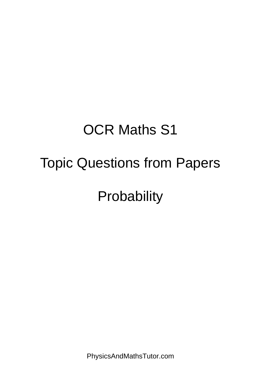# OCR Maths S1

## Topic Questions from Papers

**Probability** 

PhysicsAndMathsTutor.com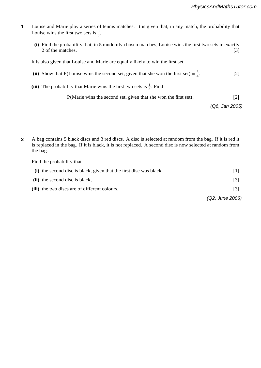- Louise and Marie play a series of tennis matches. It is given that, in any match, the probability that Louise wins the first two sets is  $\frac{3}{8}$ . **1**
	- **(i)** Find the probability that, in 5 randomly chosen matches, Louise wins the first two sets in exactly 2 of the matches. [3] physicsandmathstutor.com

It is also given that Louise and Marie are equally likely to win the first set. **2**

- (ii) Show that P(Louise wins the second set, given that she won the first set) =  $\frac{3}{4}$ . [2] **11** Show that  $P(I \text{ quite wins the second set given that she won the first set) - \frac{3}{2}$  [2]  $f(x)$  bhow that  $f(x)$ 
	- (iii) The probability that Marie wins the first two sets is  $\frac{1}{3}$ . Find  $\frac{1}{3}$  :  $\frac{1}{2}$  :  $\frac{1}{2}$  :  $\frac{1}{2}$

P(Marie wins the second set, given that she won the first set). [2]

*(Q6, Jan 2005)*

**2** A bag contains 5 black discs and 3 red discs. A disc is selected at random from the bag. If it is red it is replaced in the bag. If it is black, it is not replaced. A second disc is now selected at random from the bag. **2**

Find the probability that

|                                                                    | (Q2, June 2006) |
|--------------------------------------------------------------------|-----------------|
| (iii) the two discs are of different colours.                      |                 |
| (ii) the second disc is black,                                     |                 |
| (i) the second disc is black, given that the first disc was black, |                 |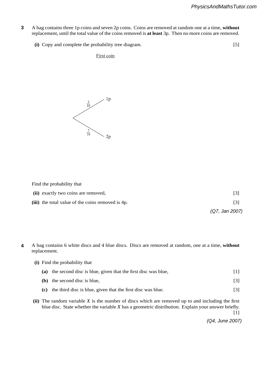- **7** A bag contains three 1p coins and seven 2p coins. Coins are removed at random one at a time, **without** replacement, until the total value of the coins removed is **at least** 3p. Then no more coins are removed. **3**
	- **(i)** Copy and complete the probability tree diagram. [5]

First coin

physicsandmathstutor.com



Find the probability that

- **(ii)** exactly two coins are removed, [3] Calculate Spearman's rank correlation coefficient, *r*
- $(iii)$  the total value of the coins removed is 4p.  $[3]$

*(Q7, Jan 2007)* of 15? [2]

- **4** A bag contains 6 white discs and 4 blue discs. Discs are removed at random, one at a time, **without** replacement. **4**
	- **(i)** Find the probability that

| (a) the second disc is blue, given that the first disc was blue, |  |
|------------------------------------------------------------------|--|
| <b>(b)</b> the second disc is blue,                              |  |

- **(c)** the third disc is blue, given that the first disc was blue. [3]
- **(ii)** The random variable *X* is the number of discs which are removed up to and including the first blue disc. State whether the variable *X* has a geometric distribution. Explain your answer briefly.

[1]

*(Q4, June 2007)*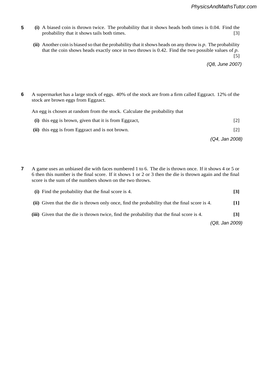- **5** (i) A biased coin is thrown twice. The probability that it shows heads both times is 0.04. Find the probability that it shows tails both times. [3] **5**
	- (ii) Another coin is biased so that physics and math stute how the ads on any throw is  $p$ . The probability that the coin shows heads exactly once in two throws is  $0.42$ . Find the two possible values of  $p$ . **5**

**(iii)** All the values of *x* are now multiplied by a scaling factor of 2. State the new values of *r* and *rs*.

minor faults. These are classed as 'seconds'. Plates are stored in batches of 12. The number of 12. The number of 12. The number of 12. The number of 12. The number of 12. The number of 12. The number of 12. The number of

. Find

[5]

*(Q8, June 2007)* [2]  $7$   $\sqrt{28}$ , June 2007  $\sqrt{28}$ 

**6** A supermarket has a large stock of eggs. 40% of the stock are from a firm called Eggzact. 12% of the stock are brown eggs from Eggzact. **6**

An egg is chosen at random from the stock. Calculate the probability that

**9 (i)** A random variable *<sup>X</sup>* has the distribution Geo<sup>1</sup>

|                                                       | (Q4, Jan 2008)    |
|-------------------------------------------------------|-------------------|
| (ii) this egg is from Eggzact and is not brown.       | [2]               |
| (i) this egg is brown, given that it is from Eggzact, | $\lceil 2 \rceil$ |
|                                                       |                   |

**(iii)** A random sample of 4 batches is selected. Find the probability that the number of these batches

**8** A game uses an unbiased die with faces numbered 1 to 6. The die is thrown once. If it shows 4 or 5 or 6 then this number is the final score. If it shows 1 or 2 or 3 then the die is thrown again and the final score is the sum of the numbers shown on the two throws. **7**

| (i) Find the probability that the final score is 4.                                          | $\lceil 3 \rceil$ |
|----------------------------------------------------------------------------------------------|-------------------|
| (ii) Given that the die is thrown only once, find the probability that the final score is 4. | 111               |
| (iii) Given that the die is thrown twice, find the probability that the final score is 4.    | $\lceil 3 \rceil$ |
|                                                                                              | (Q8, Jan 2009)    |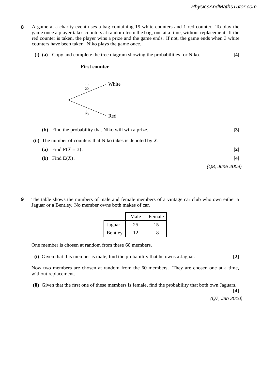- **8** A game at a charity event uses a bag containing 19 white counters and 1 red counter. To play the game once a player takes counters at random from the bag, one at a time, without replacement. If the red counter is taken, the player wins a prize and the game ends. If not, the game ends when 3 white counters have been taken. Niko plays the game once. **8**
- **(i) (a)** Copy and complete the tree diagram showing the probabilities for Niko. **[4] 6 (a)** A student calculated the values of the product moment correlation coefficient, *r*, and Spearman's

#### **First counter s**, for two sets of bivariate data,  $\frac{1}{2}$  and  $\frac{1}{2}$  and  $\frac{1}{2}$  and  $\frac{1}{2}$  and  $\frac{1}{2}$  and  $\frac{1}{2}$  and  $\frac{1}{2}$  and  $\frac{1}{2}$  and  $\frac{1}{2}$  and  $\frac{1}{2}$  and  $\frac{1}{2}$  and  $\frac{1}{2}$  and  $\frac{1}{2}$  and  $\frac$



## **(b)** Find the probability that Niko will win a prize. **[3]** (ii) The number of counters that Niko takes is denoted by  $X$ . (a) Find  $P(X = 3)$ . [2]  $\mathcal{D}$

- **(b)** Find E(*X*). **[4]**  $T_{\text{eff}}$
- **9** The table shows the numbers of male and female members of a vintage car club who own either a Jaguar or a Bentley. No member owns both makes of car. **9**

|         | Male | Female |
|---------|------|--------|
| Jaguar  |      |        |
| Bentley |      |        |

One member is chosen at random from these 60 members.

(i) Given that this member is male, find the probability that he owns a Jaguar. [2]

Now two members are chosen at random from the 60 members. They are chosen one at a time, © OCR 2009 4732 Jun09 without replacement.

**(ii)** Given that the first one of these members is female, find the probability that both own Jaguars.

**[4]** *(Q7, Jan 2010)*

*(Q8, June 2009)*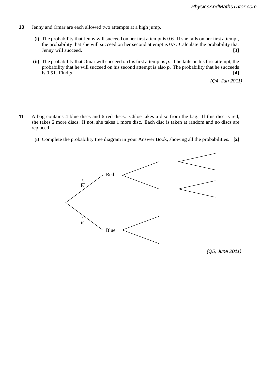- **4** Jenny and Omar are each allowed two attempts at a high jump. **10**
	- **(i)** The probability that Jenny will succeed on her first attempt is 0.6. If she fails on her first attempt, the probability that she will succeed on her second attempt is 0.7. Calculate the probability that Jenny will succeed. **[3]**
	- **(ii)** The probability that Omar will succeed on his first attempt is *p*. If he fails on his first attempt, the probability that he will succeed on his second attempt is also *p*. The probability that he succeeds is 0.51. Find *p*. **[4]**

*(Q4, Jan 2011)*

#### physicsandmathstutor.com

- any assumption(s) necessary for the distribution to be a valid model. **[4]** she takes 2 more discs. If not, she takes 1 more disc. Each disc is taken at random and no discs are **5** A bag contains 4 blue discs and 6 red discs. Chloe takes a disc from the bag. If this disc is red, replaced. **11**
	- $\mathbf{r}$   $\mathbf{r}$ **(i)** Complete the probability tree diagram in your Answer Book, showing all the probabilities. **[2]**



*(Q5, June 2011)*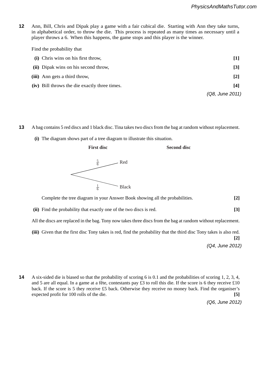**8** Ann, Bill, Chris and Dipak play a game with a fair cubical die. Starting with Ann they take turns, in alphabetical order, to throw the die. This process is repeated as many times as necessary until a player throws a 6. When this happens, the game stops and this player is the winner. **12**

Find the probability that

 **(ii)** Calculate the value of *r*

| (i) Chris wins on his first throw,            |                   |
|-----------------------------------------------|-------------------|
| (ii) Dipak wins on his second throw,          | $\lceil 3 \rceil$ |
| (iii) Ann gets a third throw,                 | $[2]$             |
| (iv) Bill throws the die exactly three times. | [4]               |
|                                               | (Q8, June 2011)   |

### **disc Tony in that the first disc Tony takes is red, find the probability that the third disc Tony takes is also red.**

- 3 A bag contains 5 red discs and 1 black disc. Tina takes two discs from the bag at random without replacement. **13**
	- **(i)** The diagram shows part of a tree diagram to illustrate this situation. **(a)**

#### **First disc** S **Second disc**



 **Complete the tree diagram in your Answer Book showing all the probabilities.** [2]

 **(ii)** Find the probability that exactly one of the two discs is red. **[3]**

All the discs are replaced in the bag. Tony now takes three discs from the bag at random without replacement.

 **(iii)** Given that the first disc Tony takes is red, find the probability that the third disc Tony takes is also red. Judge *D* ranks 2413

**[2]** *(Q4, June 2012)* **[3]**

**4** A six-sided die is biased so that the probability of scoring 6 is 0.1 and the probabilities of scoring 1, 2, 3, 4, and 5 are all equal. In a game at a fête, contestants pay £3 to roll this die. If the score is 6 they receive £10 **[1]** back. If the score is 5 they receive £5 back. Otherwise they receive no money back. Find the organiser's expected profit for 100 rolls of the die. **14**

*(Q6, June 2012)*